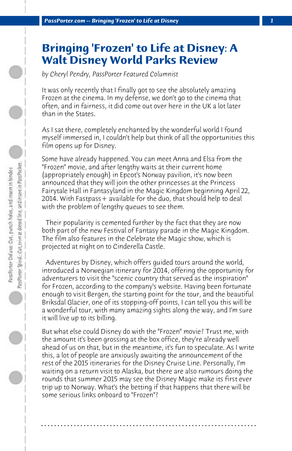## **Bringing 'Frozen' to Life at Disney: A Walt Disney World Parks Review**

*by Cheryl Pendry, PassPorter Featured Columnist*

It was only recently that I finally got to see the absolutely amazing Frozen at the cinema. In my defense, we don't go to the cinema that often, and in fairness, it did come out over here in the UK a lot later than in the States.

As I sat there, completely enchanted by the wonderful world I found myself immersed in, I couldn't help but think of all the opportunities this film opens up for Disney.

Some have already happened. You can meet Anna and Elsa from the "Frozen" movie, and after lengthy waits at their current home (appropriately enough) in Epcot's Norway pavilion, it's now been announced that they will join the other princesses at the Princess Fairytale Hall in Fantasyland in the Magic Kingdom beginning April 22, 2014. With Fastpass+ available for the duo, that should help to deal with the problem of lengthy queues to see them.

 Their popularity is cemented further by the fact that they are now both part of the new Festival of Fantasy parade in the Magic Kingdom. The film also features in the Celebrate the Magic show, which is projected at night on to Cinderella Castle.

 Adventures by Disney, which offers guided tours around the world, introduced a Norwegian itinerary for 2014, offering the opportunity for adventurers to visit the "scenic country that served as the inspiration" for Frozen, according to the company's website. Having been fortunate enough to visit Bergen, the starting point for the tour, and the beautiful Briksdal Glacier, one of its stopping-off points, I can tell you this will be a wonderful tour, with many amazing sights along the way, and I'm sure it will live up to its billing.

But what else could Disney do with the "Frozen" movie? Trust me, with the amount it's been grossing at the box office, they're already well ahead of us on that, but in the meantime, it's fun to speculate. As I write this, a lot of people are anxiously awaiting the announcement of the rest of the 2015 itineraries for the Disney Cruise Line. Personally, I'm waiting on a return visit to Alaska, but there are also rumours doing the rounds that summer 2015 may see the Disney Magic make its first ever trip up to Norway. What's the betting if that happens that there will be some serious links onboard to "Frozen"?

**. . . . . . . . . . . . . . . . . . . . . . . . . . . . . . . . . . . . . . . . . . . . . . . . . . . . . . . . . . . . . . . . . .**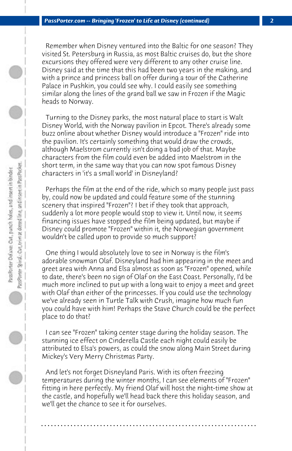Remember when Disney ventured into the Baltic for one season? They visited St. Petersburg in Russia, as most Baltic cruises do, but the shore excursions they offered were very different to any other cruise line. Disney said at the time that this had been two years in the making, and with a prince and princess ball on offer during a tour of the Catherine Palace in Pushkin, you could see why. I could easily see something similar along the lines of the grand ball we saw in Frozen if the Magic heads to Norway.

 Turning to the Disney parks, the most natural place to start is Walt Disney World, with the Norway pavilion in Epcot. There's already some buzz online about whether Disney would introduce a "Frozen" ride into the pavilion. It's certainly something that would draw the crowds, although Maelstrom currently isn't doing a bad job of that. Maybe characters from the film could even be added into Maelstrom in the short term, in the same way that you can now spot famous Disney characters in 'it's a small world' in Disneyland?

 Perhaps the film at the end of the ride, which so many people just pass by, could now be updated and could feature some of the stunning scenery that inspired "Frozen"? I bet if they took that approach, suddenly a lot more people would stop to view it. Until now, it seems financing issues have stopped the film being updated, but maybe if Disney could promote "Frozen" within it, the Norwegian government wouldn't be called upon to provide so much support?

 One thing I would absolutely love to see in Norway is the film's adorable snowman Olaf. Disneyland had him appearing in the meet and greet area with Anna and Elsa almost as soon as "Frozen" opened, while to date, there's been no sign of Olaf on the East Coast. Personally, I'd be much more inclined to put up with a long wait to enjoy a meet and greet with Olaf than either of the princesses. If you could use the technology we've already seen in Turtle Talk with Crush, imagine how much fun you could have with him! Perhaps the Stave Church could be the perfect place to do that?

 I can see "Frozen" taking center stage during the holiday season. The stunning ice effect on Cinderella Castle each night could easily be attributed to Elsa's powers, as could the snow along Main Street during Mickey's Very Merry Christmas Party.

 And let's not forget Disneyland Paris. With its often freezing temperatures during the winter months, I can see elements of "Frozen" fitting in here perfectly. My friend Olaf will host the night-time show at the castle, and hopefully we'll head back there this holiday season, and we'll get the chance to see it for ourselves.

**. . . . . . . . . . . . . . . . . . . . . . . . . . . . . . . . . . . . . . . . . . . . . . . . . . . . . . . . . . . . . . . . . .**